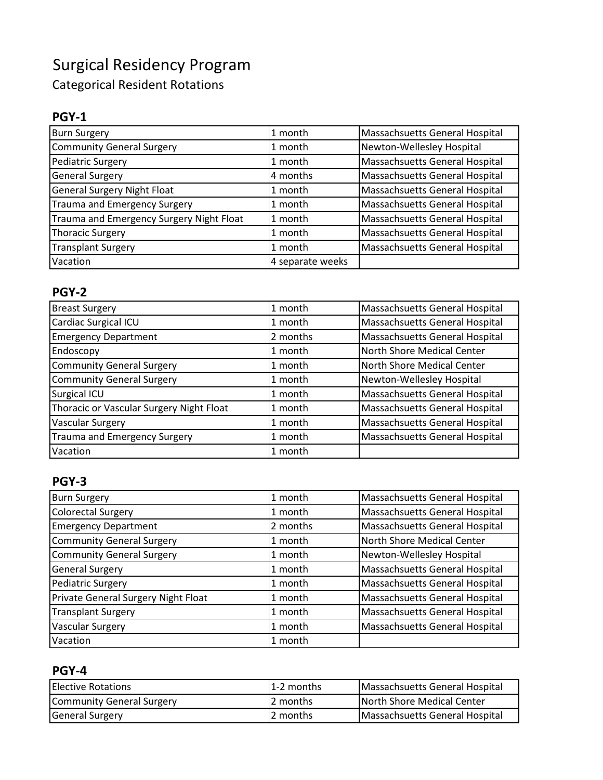# Surgical Residency Program

Categorical Resident Rotations

# **PGY-1**

| <b>Burn Surgery</b>                      | 1 month          | Massachsuetts General Hospital |
|------------------------------------------|------------------|--------------------------------|
| <b>Community General Surgery</b>         | 1 month          | Newton-Wellesley Hospital      |
| Pediatric Surgery                        | 1 month          | Massachsuetts General Hospital |
| <b>General Surgery</b>                   | 4 months         | Massachsuetts General Hospital |
| <b>General Surgery Night Float</b>       | 1 month          | Massachsuetts General Hospital |
| Trauma and Emergency Surgery             | 1 month          | Massachsuetts General Hospital |
| Trauma and Emergency Surgery Night Float | 1 month          | Massachsuetts General Hospital |
| <b>Thoracic Surgery</b>                  | 1 month          | Massachsuetts General Hospital |
| <b>Transplant Surgery</b>                | 1 month          | Massachsuetts General Hospital |
| Vacation                                 | 4 separate weeks |                                |

# **PGY-2**

| <b>Breast Surgery</b>                    | 1 month  | Massachsuetts General Hospital |
|------------------------------------------|----------|--------------------------------|
| Cardiac Surgical ICU                     | 1 month  | Massachsuetts General Hospital |
| <b>Emergency Department</b>              | 2 months | Massachsuetts General Hospital |
| Endoscopy                                | 1 month  | North Shore Medical Center     |
| <b>Community General Surgery</b>         | 1 month  | North Shore Medical Center     |
| <b>Community General Surgery</b>         | 1 month  | Newton-Wellesley Hospital      |
| <b>Surgical ICU</b>                      | 1 month  | Massachsuetts General Hospital |
| Thoracic or Vascular Surgery Night Float | 1 month  | Massachsuetts General Hospital |
| <b>Vascular Surgery</b>                  | 1 month  | Massachsuetts General Hospital |
| <b>Trauma and Emergency Surgery</b>      | 1 month  | Massachsuetts General Hospital |
| Vacation                                 | 1 month  |                                |

# **PGY-3**

| <b>Burn Surgery</b>                 | 1 month  | <b>Massachsuetts General Hospital</b> |
|-------------------------------------|----------|---------------------------------------|
| <b>Colorectal Surgery</b>           | 1 month  | Massachsuetts General Hospital        |
| <b>Emergency Department</b>         | 2 months | Massachsuetts General Hospital        |
| <b>Community General Surgery</b>    | 1 month  | North Shore Medical Center            |
| <b>Community General Surgery</b>    | 1 month  | Newton-Wellesley Hospital             |
| <b>General Surgery</b>              | 1 month  | Massachsuetts General Hospital        |
| <b>Pediatric Surgery</b>            | 1 month  | <b>Massachsuetts General Hospital</b> |
| Private General Surgery Night Float | 1 month  | Massachsuetts General Hospital        |
| <b>Transplant Surgery</b>           | 1 month  | <b>Massachsuetts General Hospital</b> |
| <b>Vascular Surgery</b>             | 1 month  | Massachsuetts General Hospital        |
| Vacation                            | 1 month  |                                       |

#### **PGY-4**

| <b>IElective Rotations</b> | l 1-2 months | Massachsuetts General Hospital |
|----------------------------|--------------|--------------------------------|
| Community General Surgery  | 2 months     | North Shore Medical Center     |
| <b>General Surgery</b>     | 2 months     | Massachsuetts General Hospital |